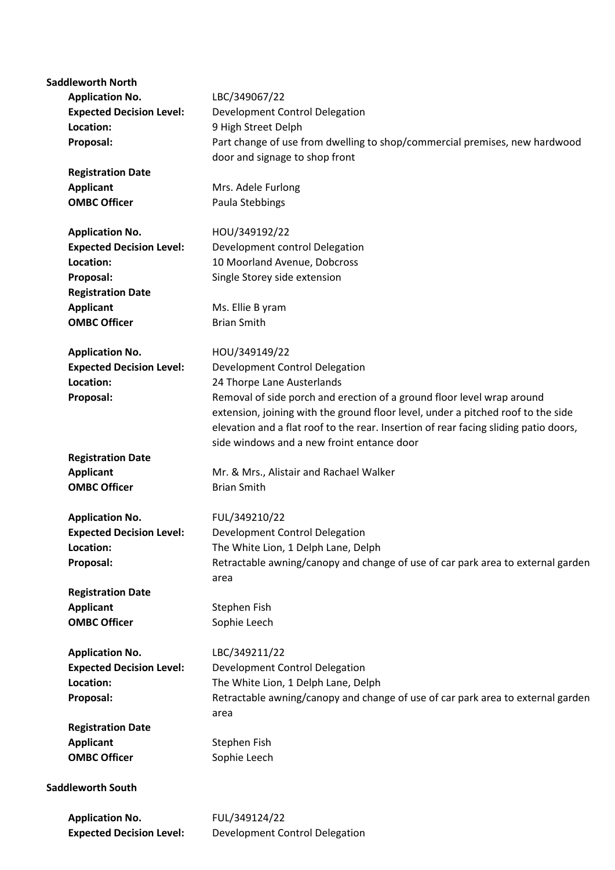| <b>Saddleworth North</b>        |                                                                                      |
|---------------------------------|--------------------------------------------------------------------------------------|
| <b>Application No.</b>          | LBC/349067/22                                                                        |
| <b>Expected Decision Level:</b> | Development Control Delegation                                                       |
| Location:                       | 9 High Street Delph                                                                  |
| Proposal:                       | Part change of use from dwelling to shop/commercial premises, new hardwood           |
|                                 | door and signage to shop front                                                       |
| <b>Registration Date</b>        |                                                                                      |
| <b>Applicant</b>                | Mrs. Adele Furlong                                                                   |
| <b>OMBC Officer</b>             | Paula Stebbings                                                                      |
| <b>Application No.</b>          | HOU/349192/22                                                                        |
| <b>Expected Decision Level:</b> | Development control Delegation                                                       |
| Location:                       | 10 Moorland Avenue, Dobcross                                                         |
| Proposal:                       | Single Storey side extension                                                         |
| <b>Registration Date</b>        |                                                                                      |
| <b>Applicant</b>                | Ms. Ellie B yram                                                                     |
| <b>OMBC Officer</b>             | <b>Brian Smith</b>                                                                   |
| <b>Application No.</b>          | HOU/349149/22                                                                        |
| <b>Expected Decision Level:</b> | <b>Development Control Delegation</b>                                                |
| Location:                       | 24 Thorpe Lane Austerlands                                                           |
| Proposal:                       | Removal of side porch and erection of a ground floor level wrap around               |
|                                 | extension, joining with the ground floor level, under a pitched roof to the side     |
|                                 | elevation and a flat roof to the rear. Insertion of rear facing sliding patio doors, |
|                                 | side windows and a new froint entance door                                           |
| <b>Registration Date</b>        |                                                                                      |
| <b>Applicant</b>                | Mr. & Mrs., Alistair and Rachael Walker                                              |
| <b>OMBC Officer</b>             | <b>Brian Smith</b>                                                                   |
| <b>Application No.</b>          | FUL/349210/22                                                                        |
| <b>Expected Decision Level:</b> | Development Control Delegation                                                       |
| Location:                       | The White Lion, 1 Delph Lane, Delph                                                  |
| Proposal:                       | Retractable awning/canopy and change of use of car park area to external garden      |
|                                 | area                                                                                 |
| <b>Registration Date</b>        |                                                                                      |
| <b>Applicant</b>                | Stephen Fish                                                                         |
| <b>OMBC Officer</b>             | Sophie Leech                                                                         |
| <b>Application No.</b>          | LBC/349211/22                                                                        |
| <b>Expected Decision Level:</b> | Development Control Delegation                                                       |
| Location:                       | The White Lion, 1 Delph Lane, Delph                                                  |
| Proposal:                       | Retractable awning/canopy and change of use of car park area to external garden      |
|                                 | area                                                                                 |
| <b>Registration Date</b>        |                                                                                      |
| <b>Applicant</b>                | Stephen Fish                                                                         |
| <b>OMBC Officer</b>             | Sophie Leech                                                                         |
| <b>Saddleworth South</b>        |                                                                                      |
| <b>Application No.</b>          | FUL/349124/22                                                                        |
| <b>Expected Decision Level:</b> | Development Control Delegation                                                       |